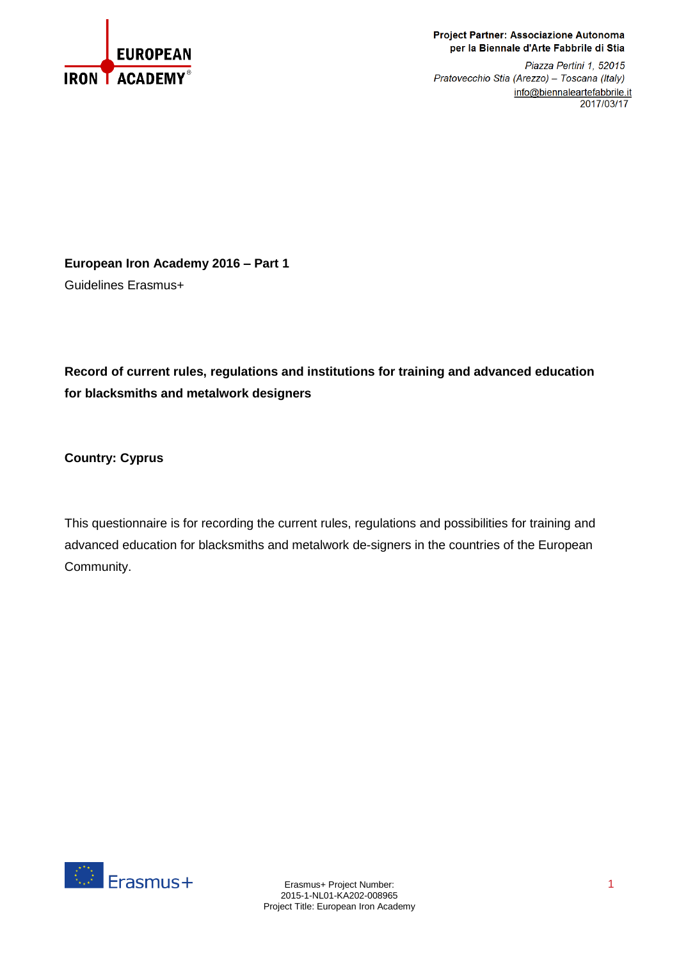

## Project Partner: Associazione Autonoma per la Biennale d'Arte Fabbrile di Stia

Piazza Pertini 1, 52015 Pratovecchio Stia (Arezzo) - Toscana (Italy) info@biennaleartefabbrile.it 2017/03/17

**European Iron Academy 2016 – Part 1** Guidelines Erasmus+

**Record of current rules, regulations and institutions for training and advanced education for blacksmiths and metalwork designers**

**Country: Cyprus**

This questionnaire is for recording the current rules, regulations and possibilities for training and advanced education for blacksmiths and metalwork de-signers in the countries of the European Community.

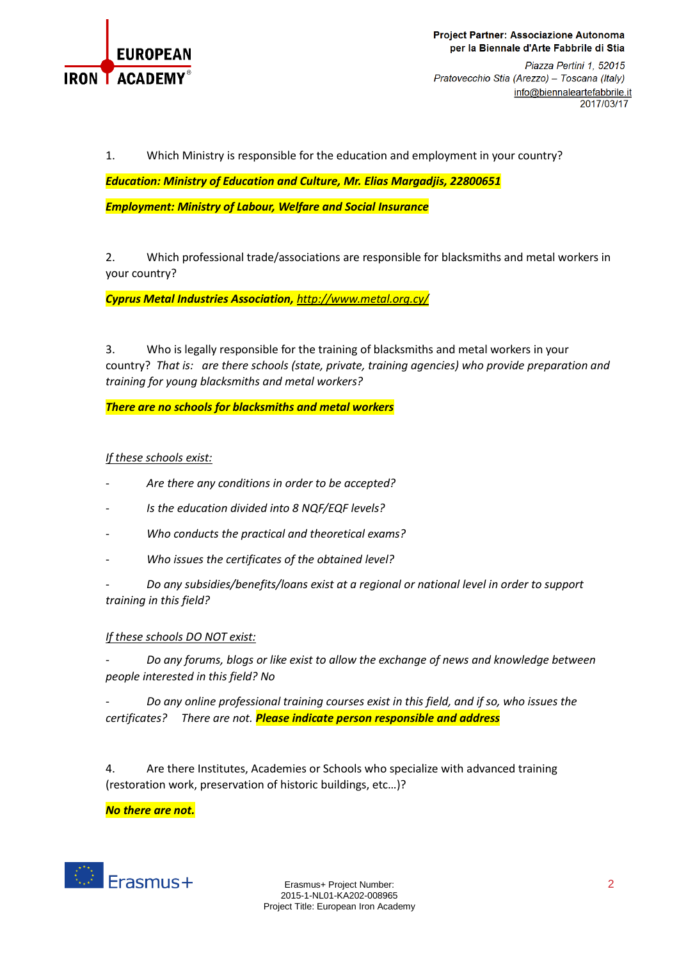

Project Partner: Associazione Autonoma per la Biennale d'Arte Fabbrile di Stia

Piazza Pertini 1, 52015 Pratovecchio Stia (Arezzo) - Toscana (Italy) info@biennaleartefabbrile.it 2017/03/17

1. Which Ministry is responsible for the education and employment in your country?

*Education: Ministry of Education and Culture, Mr. Elias Margadjis, 22800651 Employment: Ministry of Labour, Welfare and Social Insurance*

2. Which professional trade/associations are responsible for blacksmiths and metal workers in your country?

*Cyprus Metal Industries Association, <http://www.metal.org.cy/>*

3. Who is legally responsible for the training of blacksmiths and metal workers in your country? *That is: are there schools (state, private, training agencies) who provide preparation and training for young blacksmiths and metal workers?*

*There are no schools for blacksmiths and metal workers*

## *If these schools exist:*

- *Are there any conditions in order to be accepted?*
- *Is the education divided into 8 NQF/EQF levels?*
- *Who conducts the practical and theoretical exams?*
- *Who issues the certificates of the obtained level?*

- *Do any subsidies/benefits/loans exist at a regional or national level in order to support training in this field?*

## *If these schools DO NOT exist:*

- *Do any forums, blogs or like exist to allow the exchange of news and knowledge between people interested in this field? No*

- *Do any online professional training courses exist in this field, and if so, who issues the certificates? There are not. Please indicate person responsible and address*

4. Are there Institutes, Academies or Schools who specialize with advanced training (restoration work, preservation of historic buildings, etc…)?

*No there are not.*